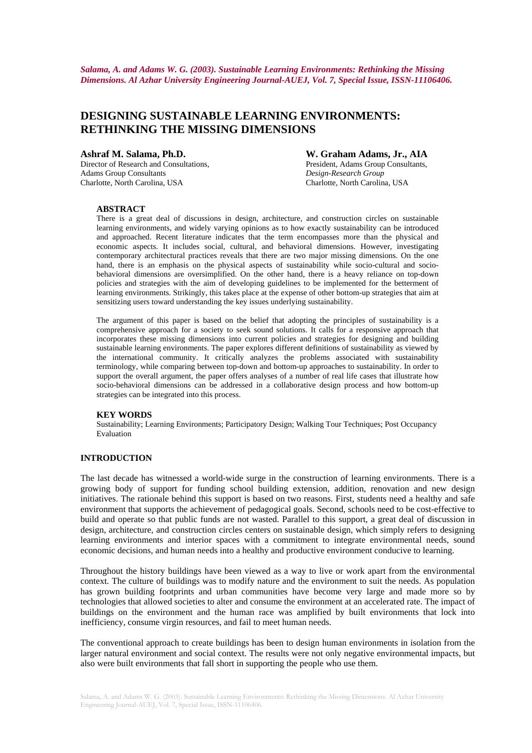*Salama, A. and Adams W. G. (2003). Sustainable Learning Environments: Rethinking the Missing Dimensions. Al Azhar University Engineering Journal-AUEJ, Vol. 7, Special Issue, ISSN-11106406.* 

# **DESIGNING SUSTAINABLE LEARNING ENVIRONMENTS: RETHINKING THE MISSING DIMENSIONS**

Director of Research and Consultations, President, Adams Group Consultants, Adams Group Consultants *Design-Research Group*  Charlotte, North Carolina, USA Charlotte, North Carolina, USA

**Ashraf M. Salama, Ph.D. W. Graham Adams, Jr., AIA** 

#### **ABSTRACT**

There is a great deal of discussions in design, architecture, and construction circles on sustainable learning environments, and widely varying opinions as to how exactly sustainability can be introduced and approached. Recent literature indicates that the term encompasses more than the physical and economic aspects. It includes social, cultural, and behavioral dimensions. However, investigating contemporary architectural practices reveals that there are two major missing dimensions. On the one hand, there is an emphasis on the physical aspects of sustainability while socio-cultural and sociobehavioral dimensions are oversimplified. On the other hand, there is a heavy reliance on top-down policies and strategies with the aim of developing guidelines to be implemented for the betterment of learning environments. Strikingly, this takes place at the expense of other bottom-up strategies that aim at sensitizing users toward understanding the key issues underlying sustainability.

The argument of this paper is based on the belief that adopting the principles of sustainability is a comprehensive approach for a society to seek sound solutions. It calls for a responsive approach that incorporates these missing dimensions into current policies and strategies for designing and building sustainable learning environments. The paper explores different definitions of sustainability as viewed by the international community. It critically analyzes the problems associated with sustainability terminology, while comparing between top-down and bottom-up approaches to sustainability. In order to support the overall argument, the paper offers analyses of a number of real life cases that illustrate how socio-behavioral dimensions can be addressed in a collaborative design process and how bottom-up strategies can be integrated into this process.

### **KEY WORDS**

Sustainability; Learning Environments; Participatory Design; Walking Tour Techniques; Post Occupancy Evaluation

# **INTRODUCTION**

The last decade has witnessed a world-wide surge in the construction of learning environments. There is a growing body of support for funding school building extension, addition, renovation and new design initiatives. The rationale behind this support is based on two reasons. First, students need a healthy and safe environment that supports the achievement of pedagogical goals. Second, schools need to be cost-effective to build and operate so that public funds are not wasted. Parallel to this support, a great deal of discussion in design, architecture, and construction circles centers on sustainable design, which simply refers to designing learning environments and interior spaces with a commitment to integrate environmental needs, sound economic decisions, and human needs into a healthy and productive environment conducive to learning.

Throughout the history buildings have been viewed as a way to live or work apart from the environmental context. The culture of buildings was to modify nature and the environment to suit the needs. As population has grown building footprints and urban communities have become very large and made more so by technologies that allowed societies to alter and consume the environment at an accelerated rate. The impact of buildings on the environment and the human race was amplified by built environments that lock into inefficiency, consume virgin resources, and fail to meet human needs.

The conventional approach to create buildings has been to design human environments in isolation from the larger natural environment and social context. The results were not only negative environmental impacts, but also were built environments that fall short in supporting the people who use them.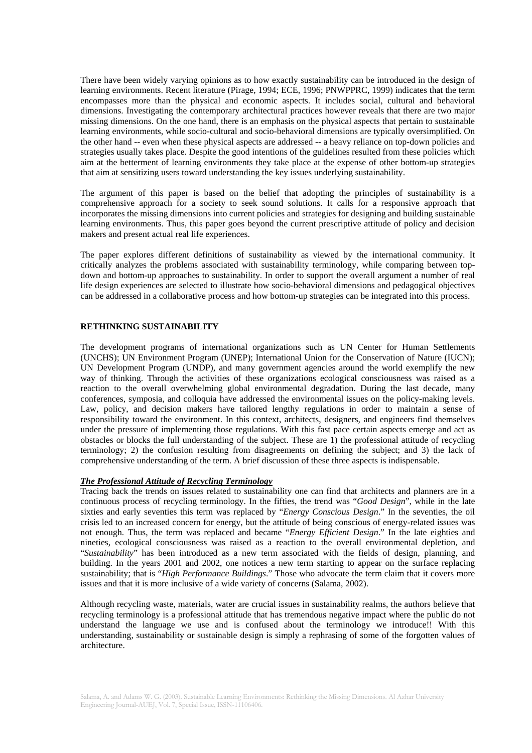There have been widely varying opinions as to how exactly sustainability can be introduced in the design of learning environments. Recent literature (Pirage, 1994; ECE, 1996; PNWPPRC, 1999) indicates that the term encompasses more than the physical and economic aspects. It includes social, cultural and behavioral dimensions. Investigating the contemporary architectural practices however reveals that there are two major missing dimensions. On the one hand, there is an emphasis on the physical aspects that pertain to sustainable learning environments, while socio-cultural and socio-behavioral dimensions are typically oversimplified. On the other hand -- even when these physical aspects are addressed -- a heavy reliance on top-down policies and strategies usually takes place. Despite the good intentions of the guidelines resulted from these policies which aim at the betterment of learning environments they take place at the expense of other bottom-up strategies that aim at sensitizing users toward understanding the key issues underlying sustainability.

The argument of this paper is based on the belief that adopting the principles of sustainability is a comprehensive approach for a society to seek sound solutions. It calls for a responsive approach that incorporates the missing dimensions into current policies and strategies for designing and building sustainable learning environments. Thus, this paper goes beyond the current prescriptive attitude of policy and decision makers and present actual real life experiences.

The paper explores different definitions of sustainability as viewed by the international community. It critically analyzes the problems associated with sustainability terminology, while comparing between topdown and bottom-up approaches to sustainability. In order to support the overall argument a number of real life design experiences are selected to illustrate how socio-behavioral dimensions and pedagogical objectives can be addressed in a collaborative process and how bottom-up strategies can be integrated into this process.

#### **RETHINKING SUSTAINABILITY**

The development programs of international organizations such as UN Center for Human Settlements (UNCHS); UN Environment Program (UNEP); International Union for the Conservation of Nature (IUCN); UN Development Program (UNDP), and many government agencies around the world exemplify the new way of thinking. Through the activities of these organizations ecological consciousness was raised as a reaction to the overall overwhelming global environmental degradation. During the last decade, many conferences, symposia, and colloquia have addressed the environmental issues on the policy-making levels. Law, policy, and decision makers have tailored lengthy regulations in order to maintain a sense of responsibility toward the environment. In this context, architects, designers, and engineers find themselves under the pressure of implementing those regulations. With this fast pace certain aspects emerge and act as obstacles or blocks the full understanding of the subject. These are 1) the professional attitude of recycling terminology; 2) the confusion resulting from disagreements on defining the subject; and 3) the lack of comprehensive understanding of the term. A brief discussion of these three aspects is indispensable.

#### *The Professional Attitude of Recycling Terminology*

Tracing back the trends on issues related to sustainability one can find that architects and planners are in a continuous process of recycling terminology. In the fifties, the trend was "*Good Design*", while in the late sixties and early seventies this term was replaced by "*Energy Conscious Design*." In the seventies, the oil crisis led to an increased concern for energy, but the attitude of being conscious of energy-related issues was not enough. Thus, the term was replaced and became "*Energy Efficient Design*." In the late eighties and nineties, ecological consciousness was raised as a reaction to the overall environmental depletion, and "*Sustainability*" has been introduced as a new term associated with the fields of design, planning, and building. In the years 2001 and 2002, one notices a new term starting to appear on the surface replacing sustainability; that is "*High Performance Buildings*." Those who advocate the term claim that it covers more issues and that it is more inclusive of a wide variety of concerns (Salama, 2002).

Although recycling waste, materials, water are crucial issues in sustainability realms, the authors believe that recycling terminology is a professional attitude that has tremendous negative impact where the public do not understand the language we use and is confused about the terminology we introduce!! With this understanding, sustainability or sustainable design is simply a rephrasing of some of the forgotten values of architecture.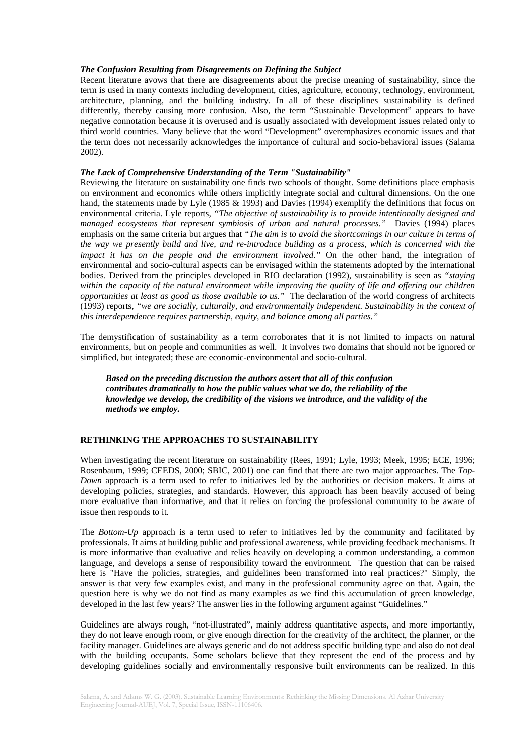### *The Confusion Resulting from Disagreements on Defining the Subject*

Recent literature avows that there are disagreements about the precise meaning of sustainability, since the term is used in many contexts including development, cities, agriculture, economy, technology, environment, architecture, planning, and the building industry. In all of these disciplines sustainability is defined differently, thereby causing more confusion. Also, the term "Sustainable Development" appears to have negative connotation because it is overused and is usually associated with development issues related only to third world countries. Many believe that the word "Development" overemphasizes economic issues and that the term does not necessarily acknowledges the importance of cultural and socio-behavioral issues (Salama 2002).

### *The Lack of Comprehensive Understanding of the Term "Sustainability"*

Reviewing the literature on sustainability one finds two schools of thought. Some definitions place emphasis on environment and economics while others implicitly integrate social and cultural dimensions. On the one hand, the statements made by Lyle (1985 & 1993) and Davies (1994) exemplify the definitions that focus on environmental criteria. Lyle reports, *"The objective of sustainability is to provide intentionally designed and managed ecosystems that represent symbiosis of urban and natural processes."* Davies (1994) places emphasis on the same criteria but argues that *"The aim is to avoid the shortcomings in our culture in terms of the way we presently build and live, and re-introduce building as a process, which is concerned with the impact it has on the people and the environment involved."* On the other hand, the integration of environmental and socio-cultural aspects can be envisaged within the statements adopted by the international bodies. Derived from the principles developed in RIO declaration (1992), sustainability is seen as *"staying within the capacity of the natural environment while improving the quality of life and offering our children opportunities at least as good as those available to us."* The declaration of the world congress of architects (1993) reports, *"we are socially, culturally, and environmentally independent. Sustainability in the context of this interdependence requires partnership, equity, and balance among all parties."*

The demystification of sustainability as a term corroborates that it is not limited to impacts on natural environments, but on people and communities as well. It involves two domains that should not be ignored or simplified, but integrated; these are economic-environmental and socio-cultural.

*Based on the preceding discussion the authors assert that all of this confusion contributes dramatically to how the public values what we do, the reliability of the knowledge we develop, the credibility of the visions we introduce, and the validity of the methods we employ.* 

# **RETHINKING THE APPROACHES TO SUSTAINABILITY**

When investigating the recent literature on sustainability (Rees, 1991; Lyle, 1993; Meek, 1995; ECE, 1996; Rosenbaum, 1999; CEEDS, 2000; SBIC, 2001) one can find that there are two major approaches. The *Top-Down* approach is a term used to refer to initiatives led by the authorities or decision makers. It aims at developing policies, strategies, and standards. However, this approach has been heavily accused of being more evaluative than informative, and that it relies on forcing the professional community to be aware of issue then responds to it.

The *Bottom-Up* approach is a term used to refer to initiatives led by the community and facilitated by professionals. It aims at building public and professional awareness, while providing feedback mechanisms. It is more informative than evaluative and relies heavily on developing a common understanding, a common language, and develops a sense of responsibility toward the environment. The question that can be raised here is "Have the policies, strategies, and guidelines been transformed into real practices?" Simply, the answer is that very few examples exist, and many in the professional community agree on that. Again, the question here is why we do not find as many examples as we find this accumulation of green knowledge, developed in the last few years? The answer lies in the following argument against "Guidelines."

Guidelines are always rough, "not-illustrated", mainly address quantitative aspects, and more importantly, they do not leave enough room, or give enough direction for the creativity of the architect, the planner, or the facility manager. Guidelines are always generic and do not address specific building type and also do not deal with the building occupants. Some scholars believe that they represent the end of the process and by developing guidelines socially and environmentally responsive built environments can be realized. In this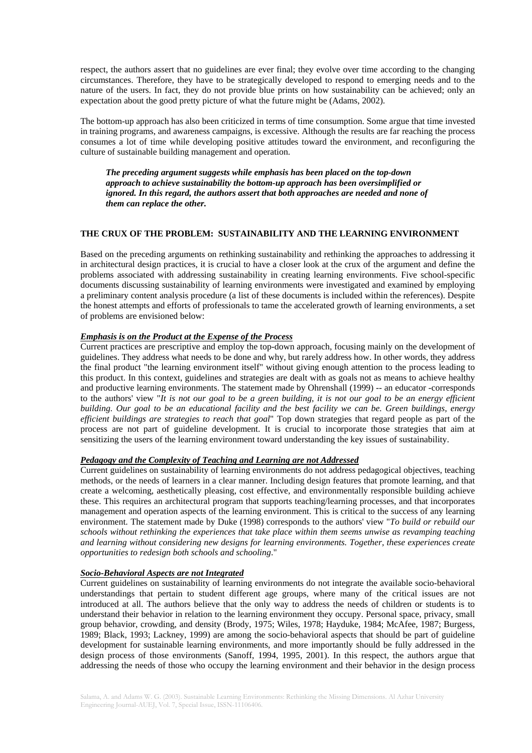respect, the authors assert that no guidelines are ever final; they evolve over time according to the changing circumstances. Therefore, they have to be strategically developed to respond to emerging needs and to the nature of the users. In fact, they do not provide blue prints on how sustainability can be achieved; only an expectation about the good pretty picture of what the future might be (Adams, 2002).

The bottom-up approach has also been criticized in terms of time consumption. Some argue that time invested in training programs, and awareness campaigns, is excessive. Although the results are far reaching the process consumes a lot of time while developing positive attitudes toward the environment, and reconfiguring the culture of sustainable building management and operation.

*The preceding argument suggests while emphasis has been placed on the top-down approach to achieve sustainability the bottom-up approach has been oversimplified or ignored. In this regard, the authors assert that both approaches are needed and none of them can replace the other.* 

#### **THE CRUX OF THE PROBLEM: SUSTAINABILITY AND THE LEARNING ENVIRONMENT**

Based on the preceding arguments on rethinking sustainability and rethinking the approaches to addressing it in architectural design practices, it is crucial to have a closer look at the crux of the argument and define the problems associated with addressing sustainability in creating learning environments. Five school-specific documents discussing sustainability of learning environments were investigated and examined by employing a preliminary content analysis procedure (a list of these documents is included within the references). Despite the honest attempts and efforts of professionals to tame the accelerated growth of learning environments, a set of problems are envisioned below:

# *Emphasis is on the Product at the Expense of the Process*

Current practices are prescriptive and employ the top-down approach, focusing mainly on the development of guidelines. They address what needs to be done and why, but rarely address how. In other words, they address the final product "the learning environment itself" without giving enough attention to the process leading to this product. In this context, guidelines and strategies are dealt with as goals not as means to achieve healthy and productive learning environments. The statement made by Ohrenshall (1999) -- an educator -corresponds to the authors' view "*It is not our goal to be a green building, it is not our goal to be an energy efficient building. Our goal to be an educational facility and the best facility we can be. Green buildings, energy efficient buildings are strategies to reach that goal*" Top down strategies that regard people as part of the process are not part of guideline development. It is crucial to incorporate those strategies that aim at sensitizing the users of the learning environment toward understanding the key issues of sustainability.

### *Pedagogy and the Complexity of Teaching and Learning are not Addressed*

Current guidelines on sustainability of learning environments do not address pedagogical objectives, teaching methods, or the needs of learners in a clear manner. Including design features that promote learning, and that create a welcoming, aesthetically pleasing, cost effective, and environmentally responsible building achieve these. This requires an architectural program that supports teaching/learning processes, and that incorporates management and operation aspects of the learning environment. This is critical to the success of any learning environment. The statement made by Duke (1998) corresponds to the authors' view "*To build or rebuild our schools without rethinking the experiences that take place within them seems unwise as revamping teaching and learning without considering new designs for learning environments. Together, these experiences create opportunities to redesign both schools and schooling*."

#### *Socio-Behavioral Aspects are not Integrated*

Current guidelines on sustainability of learning environments do not integrate the available socio-behavioral understandings that pertain to student different age groups, where many of the critical issues are not introduced at all. The authors believe that the only way to address the needs of children or students is to understand their behavior in relation to the learning environment they occupy. Personal space, privacy, small group behavior, crowding, and density (Brody, 1975; Wiles, 1978; Hayduke, 1984; McAfee, 1987; Burgess, 1989; Black, 1993; Lackney, 1999) are among the socio-behavioral aspects that should be part of guideline development for sustainable learning environments, and more importantly should be fully addressed in the design process of those environments (Sanoff, 1994, 1995, 2001). In this respect, the authors argue that addressing the needs of those who occupy the learning environment and their behavior in the design process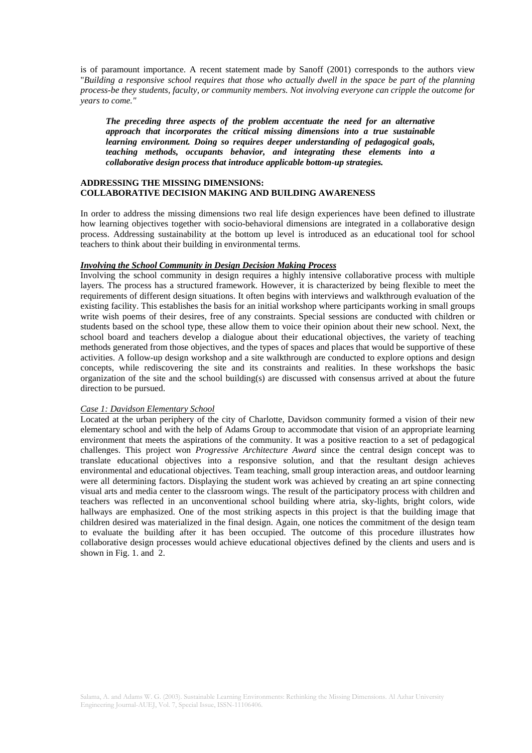is of paramount importance. A recent statement made by Sanoff (2001) corresponds to the authors view "*Building a responsive school requires that those who actually dwell in the space be part of the planning process-be they students, faculty, or community members. Not involving everyone can cripple the outcome for years to come."*

*The preceding three aspects of the problem accentuate the need for an alternative approach that incorporates the critical missing dimensions into a true sustainable learning environment. Doing so requires deeper understanding of pedagogical goals, teaching methods, occupants behavior, and integrating these elements into a collaborative design process that introduce applicable bottom-up strategies.* 

#### **ADDRESSING THE MISSING DIMENSIONS: COLLABORATIVE DECISION MAKING AND BUILDING AWARENESS**

In order to address the missing dimensions two real life design experiences have been defined to illustrate how learning objectives together with socio-behavioral dimensions are integrated in a collaborative design process. Addressing sustainability at the bottom up level is introduced as an educational tool for school teachers to think about their building in environmental terms.

#### *Involving the School Community in Design Decision Making Process*

Involving the school community in design requires a highly intensive collaborative process with multiple layers. The process has a structured framework. However, it is characterized by being flexible to meet the requirements of different design situations. It often begins with interviews and walkthrough evaluation of the existing facility. This establishes the basis for an initial workshop where participants working in small groups write wish poems of their desires, free of any constraints. Special sessions are conducted with children or students based on the school type, these allow them to voice their opinion about their new school. Next, the school board and teachers develop a dialogue about their educational objectives, the variety of teaching methods generated from those objectives, and the types of spaces and places that would be supportive of these activities. A follow-up design workshop and a site walkthrough are conducted to explore options and design concepts, while rediscovering the site and its constraints and realities. In these workshops the basic organization of the site and the school building(s) are discussed with consensus arrived at about the future direction to be pursued.

# *Case 1: Davidson Elementary School*

Located at the urban periphery of the city of Charlotte, Davidson community formed a vision of their new elementary school and with the help of Adams Group to accommodate that vision of an appropriate learning environment that meets the aspirations of the community. It was a positive reaction to a set of pedagogical challenges. This project won *Progressive Architecture Award* since the central design concept was to translate educational objectives into a responsive solution, and that the resultant design achieves environmental and educational objectives. Team teaching, small group interaction areas, and outdoor learning were all determining factors. Displaying the student work was achieved by creating an art spine connecting visual arts and media center to the classroom wings. The result of the participatory process with children and teachers was reflected in an unconventional school building where atria, sky-lights, bright colors, wide hallways are emphasized. One of the most striking aspects in this project is that the building image that children desired was materialized in the final design. Again, one notices the commitment of the design team to evaluate the building after it has been occupied. The outcome of this procedure illustrates how collaborative design processes would achieve educational objectives defined by the clients and users and is shown in Fig. 1. and 2.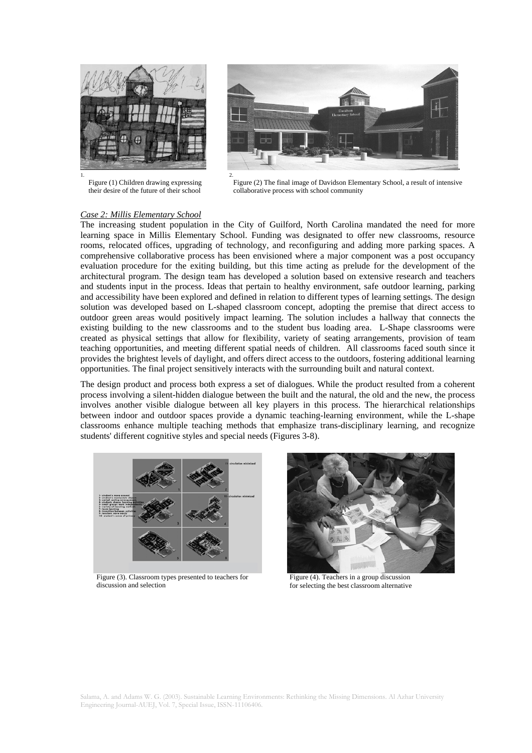

Figure (1) Children drawing expressing their desire of the future of their school



Figure (2) The final image of Davidson Elementary School, a result of intensive collaborative process with school community

# *Case 2: Millis Elementary School*

The increasing student population in the City of Guilford, North Carolina mandated the need for more learning space in Millis Elementary School. Funding was designated to offer new classrooms, resource rooms, relocated offices, upgrading of technology, and reconfiguring and adding more parking spaces. A comprehensive collaborative process has been envisioned where a major component was a post occupancy evaluation procedure for the exiting building, but this time acting as prelude for the development of the architectural program. The design team has developed a solution based on extensive research and teachers and students input in the process. Ideas that pertain to healthy environment, safe outdoor learning, parking and accessibility have been explored and defined in relation to different types of learning settings. The design solution was developed based on L-shaped classroom concept, adopting the premise that direct access to outdoor green areas would positively impact learning. The solution includes a hallway that connects the existing building to the new classrooms and to the student bus loading area. L-Shape classrooms were created as physical settings that allow for flexibility, variety of seating arrangements, provision of team teaching opportunities, and meeting different spatial needs of children. All classrooms faced south since it provides the brightest levels of daylight, and offers direct access to the outdoors, fostering additional learning opportunities. The final project sensitively interacts with the surrounding built and natural context.

The design product and process both express a set of dialogues. While the product resulted from a coherent process involving a silent-hidden dialogue between the built and the natural, the old and the new, the process involves another visible dialogue between all key players in this process. The hierarchical relationships between indoor and outdoor spaces provide a dynamic teaching-learning environment, while the L-shape classrooms enhance multiple teaching methods that emphasize trans-disciplinary learning, and recognize students' different cognitive styles and special needs (Figures 3-8).



Figure (3). Classroom types presented to teachers for discussion and selection



Figure (4). Teachers in a group discussion for selecting the best classroom alternative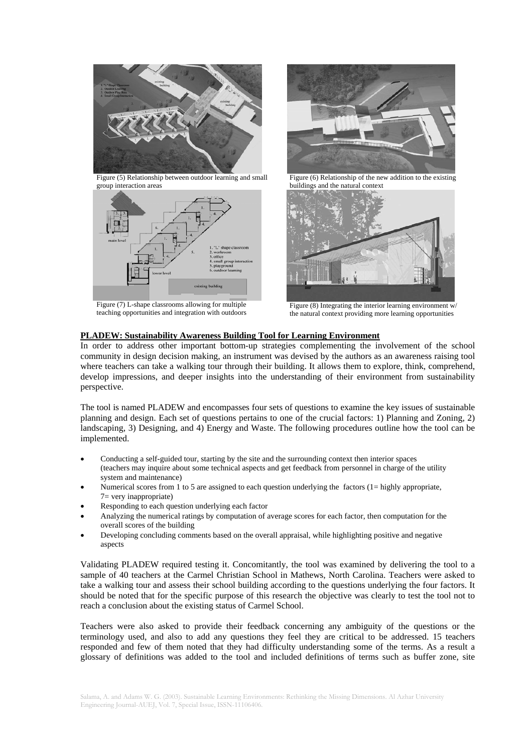

Figure (5) Relationship between outdoor learning and small group interaction areas



Figure (7) L-shape classrooms allowing for multiple teaching opportunities and integration with outdoors



Figure (6) Relationship of the new addition to the existing buildings and the natural context



Figure (8) Integrating the interior learning environment  $\overline{w}$ / the natural context providing more learning opportunities

# **PLADEW: Sustainability Awareness Building Tool for Learning Environment**

In order to address other important bottom-up strategies complementing the involvement of the school community in design decision making, an instrument was devised by the authors as an awareness raising tool where teachers can take a walking tour through their building. It allows them to explore, think, comprehend, develop impressions, and deeper insights into the understanding of their environment from sustainability perspective.

The tool is named PLADEW and encompasses four sets of questions to examine the key issues of sustainable planning and design. Each set of questions pertains to one of the crucial factors: 1) Planning and Zoning, 2) landscaping, 3) Designing, and 4) Energy and Waste. The following procedures outline how the tool can be implemented.

- Conducting a self-guided tour, starting by the site and the surrounding context then interior spaces (teachers may inquire about some technical aspects and get feedback from personnel in charge of the utility system and maintenance)
- Numerical scores from 1 to 5 are assigned to each question underlying the factors  $(1 = \text{highly appropriate})$ , 7= very inappropriate)
- Responding to each question underlying each factor
- Analyzing the numerical ratings by computation of average scores for each factor, then computation for the overall scores of the building
- Developing concluding comments based on the overall appraisal, while highlighting positive and negative aspects

Validating PLADEW required testing it. Concomitantly, the tool was examined by delivering the tool to a sample of 40 teachers at the Carmel Christian School in Mathews, North Carolina. Teachers were asked to take a walking tour and assess their school building according to the questions underlying the four factors. It should be noted that for the specific purpose of this research the objective was clearly to test the tool not to reach a conclusion about the existing status of Carmel School.

Teachers were also asked to provide their feedback concerning any ambiguity of the questions or the terminology used, and also to add any questions they feel they are critical to be addressed. 15 teachers responded and few of them noted that they had difficulty understanding some of the terms. As a result a glossary of definitions was added to the tool and included definitions of terms such as buffer zone, site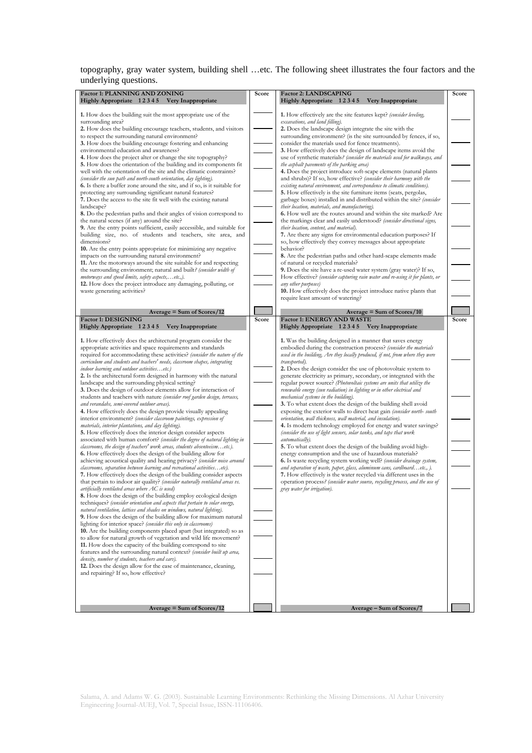topography, gray water system, building shell …etc. The following sheet illustrates the four factors and the underlying questions.

| Factor 1: PLANNING AND ZONING                                                                                                                            | Score | <b>Factor 2: LANDSCAPING</b>                                                                                                                       | Score |
|----------------------------------------------------------------------------------------------------------------------------------------------------------|-------|----------------------------------------------------------------------------------------------------------------------------------------------------|-------|
| Highly Appropriate 12345 Very Inappropriate                                                                                                              |       | Highly Appropriate 12345 Very Inappropriate                                                                                                        |       |
| 1. How does the building suit the most appropriate use of the                                                                                            |       | 1. How effectively are the site features kept? (consider leveling,                                                                                 |       |
| surrounding area?                                                                                                                                        |       | excavations, and land filling).                                                                                                                    |       |
| 2. How does the building encourage teachers, students, and visitors                                                                                      |       | 2. Does the landscape design integrate the site with the                                                                                           |       |
| to respect the surrounding natural environment?                                                                                                          |       | surrounding environment? (is the site surrounded by fences, if so,                                                                                 |       |
| 3. How does the building encourage fostering and enhancing<br>environmental education and awareness?                                                     |       | consider the materials used for fence treatments).<br>3. How effectively does the design of landscape items avoid the                              |       |
| 4. How does the project alter or change the site topography?                                                                                             |       | use of synthetic materials? (consider the materials used for walkways, and                                                                         |       |
| 5. How does the orientation of the building and its components fit                                                                                       |       | the asphalt pavements of the parking area)                                                                                                         |       |
| well with the orientation of the site and the climatic constraints?                                                                                      |       | 4. Does the project introduce soft-scape elements (natural plants                                                                                  |       |
| (consider the sun path and north-south orientation, day lighting).<br><b>6.</b> Is there a buffer zone around the site, and if so, is it suitable for    |       | and shrubs)? If so, how effective? (consider their harmony with the<br>existing natural environment, and correspondence to climatic conditions).   |       |
| protecting any surrounding significant natural features?                                                                                                 |       | 5. How effectively is the site furniture items (seats, pergolas,                                                                                   |       |
| 7. Does the access to the site fit well with the existing natural                                                                                        |       | garbage boxes) installed in and distributed within the site? (consider                                                                             |       |
| landscape?                                                                                                                                               |       | their location, materials, and manufacturing).                                                                                                     |       |
| 8. Do the pedestrian paths and their angles of vision correspond to<br>the natural scenes (if any) around the site?                                      |       | <b>6.</b> How well are the routes around and within the site marked? Are<br>the markings clear and easily understood? (consider directional signs, |       |
| 9. Are the entry points sufficient, easily accessible, and suitable for                                                                                  |       | their location, content, and material).                                                                                                            |       |
| building size, no. of students and teachers, site area, and                                                                                              |       | 7. Are there any signs for environmental education purposes? If                                                                                    |       |
| dimensions?                                                                                                                                              |       | so, how effectively they convey messages about appropriate                                                                                         |       |
| 10. Are the entry points appropriate for minimizing any negative                                                                                         |       | behavior?                                                                                                                                          |       |
| impacts on the surrounding natural environment?<br>11. Are the motorways around the site suitable for and respecting                                     |       | 8. Are the pedestrian paths and other hard-scape elements made<br>of natural or recycled materials?                                                |       |
| the surrounding environment; natural and built? (consider width of                                                                                       |       | 9. Does the site have a re-used water system (gray water)? If so,                                                                                  |       |
| motorways and speed limits, safety aspects,etc.,).                                                                                                       |       | How effective? (consider capturing rain water and re-using it for plants, or                                                                       |       |
| 12. How does the project introduce any damaging, polluting, or                                                                                           |       | any other purposes)                                                                                                                                |       |
| waste generating activities?                                                                                                                             |       | 10. How effectively does the project introduce native plants that                                                                                  |       |
|                                                                                                                                                          |       | require least amount of watering?                                                                                                                  |       |
| Average $=$ Sum of Scores/12                                                                                                                             |       | $Average = Sum of Scores/10$                                                                                                                       |       |
| <b>Factor 1: DESIGNING</b>                                                                                                                               | Score | <b>Factor 1: ENERGY AND WASTE</b>                                                                                                                  | Score |
| Highly Appropriate 12345 Very Inappropriate                                                                                                              |       | Highly Appropriate 12345 Very Inappropriate                                                                                                        |       |
| 1. How effectively does the architectural program consider the                                                                                           |       | 1. Was the building designed in a manner that saves energy                                                                                         |       |
| appropriate activities and space requirements and standards                                                                                              |       | embodied during the construction process? (consider the materials                                                                                  |       |
| required for accommodating these activities? (consider the nature of the                                                                                 |       | used in the building, Are they locally produced, if not, from where they were                                                                      |       |
| curriculum and students and teachers' needs, classroom shapes, integrating<br>indoor learning and outdoor activitiesetc.)                                |       | transported).<br>2. Does the design consider the use of photovoltaic system to                                                                     |       |
| 2. Is the architectural form designed in harmony with the natural                                                                                        |       | generate electricity as primary, secondary, or integrated with the                                                                                 |       |
| landscape and the surrounding physical setting?                                                                                                          |       | regular power source? (Photovoltaic systems are units that utilize the                                                                             |       |
| 3. Does the design of outdoor elements allow for interaction of                                                                                          |       | renewable energy (sun radiation) in lighting or in other electrical and                                                                            |       |
| students and teachers with nature (consider roof garden design, terraces,                                                                                |       | mechanical systems in the building).                                                                                                               |       |
| and verandahs, semi-covered outdoor areas).<br>4. How effectively does the design provide visually appealing                                             |       | 3. To what extent does the design of the building shell avoid<br>exposing the exterior walls to direct heat gain (consider north-south             |       |
| interior environment? (consider classroom paintings, expression of                                                                                       |       | orientation, wall thickness, wall material, and insulation).                                                                                       |       |
| materials, interior plantations, and day lighting).                                                                                                      |       | 4. Is modern technology employed for energy and water savings?                                                                                     |       |
| 5. How effectively does the interior design consider aspects                                                                                             |       | (consider the use of light sensors, solar tanks, and taps that work                                                                                |       |
| associated with human comfort? (consider the degree of natural lighting in<br>classrooms, the design of teachers' work areas, students absenteeismetc.). |       | automatically).<br>5. To what extent does the design of the building avoid high-                                                                   |       |
| <b>6.</b> How effectively does the design of the building allow for                                                                                      |       | energy consumption and the use of hazardous materials?                                                                                             |       |
| achieving acoustical quality and hearing privacy? (consider noise around                                                                                 |       | 6. Is waste recycling system working well? (consider drainage system,                                                                              |       |
| classrooms, separation between learning and recreational activitiesetc).                                                                                 |       | and separation of waste, paper, glass, aluminum cans, cardboardetc., ).                                                                            |       |
| 7. How effectively does the design of the building consider aspects<br>that pertain to indoor air quality? (consider naturally ventilated areas vs.      |       | 7. How effectively is the water recycled via different uses in the<br>operation process? (consider water source, recycling process, and the use of |       |
| artificially ventilated areas where AC is used)                                                                                                          |       | gray water for irrigation).                                                                                                                        |       |
| 8. How does the design of the building employ ecological design                                                                                          |       |                                                                                                                                                    |       |
| techniques? (consider orientation and aspects that pertain to solar energy,                                                                              |       |                                                                                                                                                    |       |
| natural ventilation, lattices and shades on windows, natural lighting).                                                                                  |       |                                                                                                                                                    |       |
| 9. How does the design of the building allow for maximum natural<br>lighting for interior space? (consider this only in classrooms)                      |       |                                                                                                                                                    |       |
| 10. Are the building components placed apart (but integrated) so as                                                                                      |       |                                                                                                                                                    |       |
| to allow for natural growth of vegetation and wild life movement?                                                                                        |       |                                                                                                                                                    |       |
| 11. How does the capacity of the building correspond to site                                                                                             |       |                                                                                                                                                    |       |
| features and the surrounding natural context? (consider built up area,<br>density, number of students, teachers and cars).                               |       |                                                                                                                                                    |       |
| 12. Does the design allow for the ease of maintenance, cleaning,                                                                                         |       |                                                                                                                                                    |       |
| and repairing? If so, how effective?                                                                                                                     |       |                                                                                                                                                    |       |
|                                                                                                                                                          |       |                                                                                                                                                    |       |
|                                                                                                                                                          |       |                                                                                                                                                    |       |
|                                                                                                                                                          |       |                                                                                                                                                    |       |
| Average = Sum of Scores/12                                                                                                                               |       | Average - Sum of Scores/7                                                                                                                          |       |

Salama, A. and Adams W. G. (2003). Sustainable Learning Environments: Rethinking the Missing Dimensions. Al Azhar University Engineering Journal-AUEJ, Vol. 7, Special Issue, ISSN-11106406.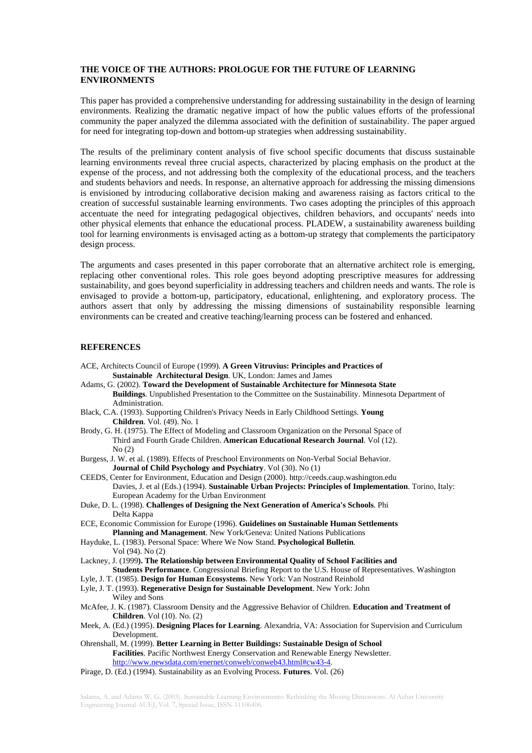# **THE VOICE OF THE AUTHORS: PROLOGUE FOR THE FUTURE OF LEARNING ENVIRONMENTS**

This paper has provided a comprehensive understanding for addressing sustainability in the design of learning environments. Realizing the dramatic negative impact of how the public values efforts of the professional community the paper analyzed the dilemma associated with the definition of sustainability. The paper argued for need for integrating top-down and bottom-up strategies when addressing sustainability.

The results of the preliminary content analysis of five school specific documents that discuss sustainable learning environments reveal three crucial aspects, characterized by placing emphasis on the product at the expense of the process, and not addressing both the complexity of the educational process, and the teachers and students behaviors and needs. In response, an alternative approach for addressing the missing dimensions is envisioned by introducing collaborative decision making and awareness raising as factors critical to the creation of successful sustainable learning environments. Two cases adopting the principles of this approach accentuate the need for integrating pedagogical objectives, children behaviors, and occupants' needs into other physical elements that enhance the educational process. PLADEW, a sustainability awareness building tool for learning environments is envisaged acting as a bottom-up strategy that complements the participatory design process.

The arguments and cases presented in this paper corroborate that an alternative architect role is emerging, replacing other conventional roles. This role goes beyond adopting prescriptive measures for addressing sustainability, and goes beyond superficiality in addressing teachers and children needs and wants. The role is envisaged to provide a bottom-up, participatory, educational, enlightening, and exploratory process. The authors assert that only by addressing the missing dimensions of sustainability responsible learning environments can be created and creative teaching/learning process can be fostered and enhanced.

# **REFERENCES**

- ACE, Architects Council of Europe (1999). **A Green Vitruvius: Principles and Practices of Sustainable Architectural Design**. UK, London: James and James
- Adams, G. (2002). **Toward the Development of Sustainable Architecture for Minnesota State Buildings**. Unpublished Presentation to the Committee on the Sustainability. Minnesota Department of Administration.
- Black, C.A. (1993). Supporting Children's Privacy Needs in Early Childhood Settings. **Young Children**. Vol. (49). No. 1
- Brody, G. H. (1975). The Effect of Modeling and Classroom Organization on the Personal Space of Third and Fourth Grade Children. **American Educational Research Journal**. Vol (12). No (2)
- Burgess, J. W. et al. (1989). Effects of Preschool Environments on Non-Verbal Social Behavior. **Journal of Child Psychology and Psychiatry**. Vol (30). No (1)
- CEEDS, Center for Environment, Education and Design (2000). http://ceeds.caup.washington.edu Davies, J. et al (Eds.) (1994). **Sustainable Urban Projects: Principles of Implementation**. Torino, Italy: European Academy for the Urban Environment
- Duke, D. L. (1998). **Challenges of Designing the Next Generation of America's Schools**. Phi Delta Kappa
- ECE, Economic Commission for Europe (1996). **Guidelines on Sustainable Human Settlements Planning and Management**. New York/Geneva: United Nations Publications
- Hayduke, L. (1983). Personal Space: Where We Now Stand. **Psychological Bulletin**. Vol (94). No (2)
- Lackney, J. (1999**). The Relationship between Environmental Quality of School Facilities and Students Performance**. Congressional Briefing Report to the U.S. House of Representatives. Washington
- Lyle, J. T. (1985). **Design for Human Ecosystems**. New York: Van Nostrand Reinhold
- Lyle, J. T. (1993). **Regenerative Design for Sustainable Development**. New York: John
- Wiley and Sons
- McAfee, J. K. (1987). Classroom Density and the Aggressive Behavior of Children. **Education and Treatment of Children**. Vol (10). No. (2)
- Meek, A. (Ed.) (1995). **Designing Places for Learning**. Alexandria, VA: Association for Supervision and Curriculum Development.
- Ohrenshall, M. (1999). **Better Learning in Better Buildings: Sustainable Design of School Facilities**. Pacific Northwest Energy Conservation and Renewable Energy Newsletter. http://www.newsdata.com/enernet/conweb/conweb43.html#cw43-4.
- Pirage, D. (Ed.) (1994). Sustainability as an Evolving Process. **Futures**. Vol. (26)